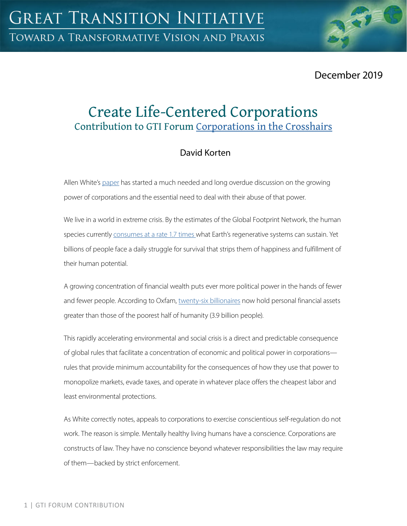December 2019

# Create Life-Centered Corporations Contribution to GTI Forum [Corporations in the Crosshairs](https://greattransition.org/gti-forum/corporations-in-the-crosshairs)

# David Korten

Allen White's [paper](https://greattransition.org/gti-forum/csr-white) has started a much needed and long overdue discussion on the growing power of corporations and the essential need to deal with their abuse of that power.

We live in a world in extreme crisis. By the estimates of the Global Footprint Network, the human species currently [consumes at a rate 1.7 times w](https://www.footprintnetwork.org/2018/07/23/earth-overshoot-day-2018-is-august-1-the-earliest-date-since-ecological-overshoot-started-in-the-early-1970s-2/)hat Earth's regenerative systems can sustain. Yet billions of people face a daily struggle for survival that strips them of happiness and fulfillment of their human potential.

A growing concentration of financial wealth puts ever more political power in the hands of fewer and fewer people. According to Oxfam, [twenty-six billionaires](https://www.oxfam.org/en/press-releases/billionaire-fortunes-grew-25-billion-day-last-year-poorest-saw-their-wealth-fall) now hold personal financial assets greater than those of the poorest half of humanity (3.9 billion people).

This rapidly accelerating environmental and social crisis is a direct and predictable consequence of global rules that facilitate a concentration of economic and political power in corporations rules that provide minimum accountability for the consequences of how they use that power to monopolize markets, evade taxes, and operate in whatever place offers the cheapest labor and least environmental protections.

As White correctly notes, appeals to corporations to exercise conscientious self-regulation do not work. The reason is simple. Mentally healthy living humans have a conscience. Corporations are constructs of law. They have no conscience beyond whatever responsibilities the law may require of them—backed by strict enforcement.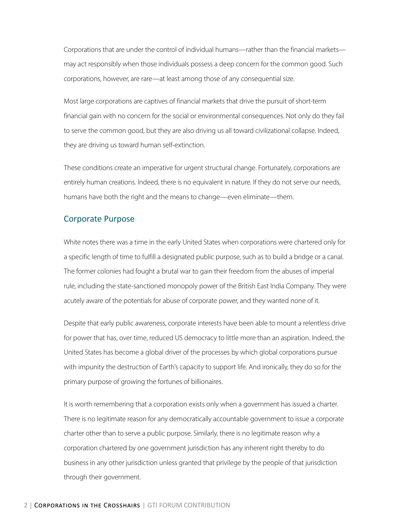Corporations that are under the control of individual humans—rather than the financial markets may act responsibly when those individuals possess a deep concern for the common good. Such corporations, however, are rare—at least among those of any consequential size.

Most large corporations are captives of financial markets that drive the pursuit of short-term financial gain with no concern for the social or environmental consequences. Not only do they fail to serve the common good, but they are also driving us all toward civilizational collapse. Indeed, they are driving us toward human self-extinction.

These conditions create an imperative for urgent structural change. Fortunately, corporations are entirely human creations. Indeed, there is no equivalent in nature. If they do not serve our needs, humans have both the right and the means to change—even eliminate—them.

#### Corporate Purpose

White notes there was a time in the early United States when corporations were chartered only for a specific length of time to fulfill a designated public purpose, such as to build a bridge or a canal. The former colonies had fought a brutal war to gain their freedom from the abuses of imperial rule, including the state-sanctioned monopoly power of the British East India Company. They were acutely aware of the potentials for abuse of corporate power, and they wanted none of it.

Despite that early public awareness, corporate interests have been able to mount a relentless drive for power that has, over time, reduced US democracy to little more than an aspiration. Indeed, the United States has become a global driver of the processes by which global corporations pursue with impunity the destruction of Earth's capacity to support life. And ironically, they do so for the primary purpose of growing the fortunes of billionaires.

It is worth remembering that a corporation exists only when a government has issued a charter. There is no legitimate reason for any democratically accountable government to issue a corporate charter other than to serve a public purpose. Similarly, there is no legitimate reason why a corporation chartered by one government jurisdiction has any inherent right thereby to do business in any other jurisdiction unless granted that privilege by the people of that jurisdiction through their government.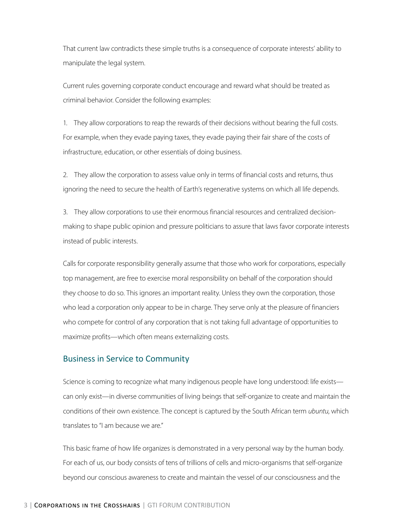That current law contradicts these simple truths is a consequence of corporate interests' ability to manipulate the legal system.

Current rules governing corporate conduct encourage and reward what should be treated as criminal behavior. Consider the following examples:

1. They allow corporations to reap the rewards of their decisions without bearing the full costs. For example, when they evade paying taxes, they evade paying their fair share of the costs of infrastructure, education, or other essentials of doing business.

2. They allow the corporation to assess value only in terms of financial costs and returns, thus ignoring the need to secure the health of Earth's regenerative systems on which all life depends.

3. They allow corporations to use their enormous financial resources and centralized decisionmaking to shape public opinion and pressure politicians to assure that laws favor corporate interests instead of public interests.

Calls for corporate responsibility generally assume that those who work for corporations, especially top management, are free to exercise moral responsibility on behalf of the corporation should they choose to do so. This ignores an important reality. Unless they own the corporation, those who lead a corporation only appear to be in charge. They serve only at the pleasure of financiers who compete for control of any corporation that is not taking full advantage of opportunities to maximize profits—which often means externalizing costs.

#### Business in Service to Community

Science is coming to recognize what many indigenous people have long understood: life exists can only exist—in diverse communities of living beings that self-organize to create and maintain the conditions of their own existence. The concept is captured by the South African term *ubuntu*, which translates to "I am because we are."

This basic frame of how life organizes is demonstrated in a very personal way by the human body. For each of us, our body consists of tens of trillions of cells and micro-organisms that self-organize beyond our conscious awareness to create and maintain the vessel of our consciousness and the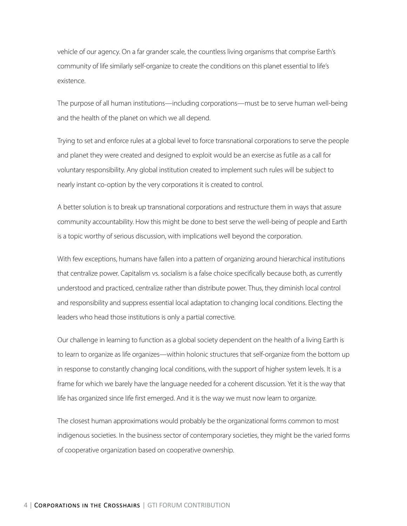vehicle of our agency. On a far grander scale, the countless living organisms that comprise Earth's community of life similarly self-organize to create the conditions on this planet essential to life's existence.

The purpose of all human institutions—including corporations—must be to serve human well-being and the health of the planet on which we all depend.

Trying to set and enforce rules at a global level to force transnational corporations to serve the people and planet they were created and designed to exploit would be an exercise as futile as a call for voluntary responsibility. Any global institution created to implement such rules will be subject to nearly instant co-option by the very corporations it is created to control.

A better solution is to break up transnational corporations and restructure them in ways that assure community accountability. How this might be done to best serve the well-being of people and Earth is a topic worthy of serious discussion, with implications well beyond the corporation.

With few exceptions, humans have fallen into a pattern of organizing around hierarchical institutions that centralize power. Capitalism vs. socialism is a false choice specifically because both, as currently understood and practiced, centralize rather than distribute power. Thus, they diminish local control and responsibility and suppress essential local adaptation to changing local conditions. Electing the leaders who head those institutions is only a partial corrective.

Our challenge in learning to function as a global society dependent on the health of a living Earth is to learn to organize as life organizes—within holonic structures that self-organize from the bottom up in response to constantly changing local conditions, with the support of higher system levels. It is a frame for which we barely have the language needed for a coherent discussion. Yet it is the way that life has organized since life first emerged. And it is the way we must now learn to organize.

The closest human approximations would probably be the organizational forms common to most indigenous societies. In the business sector of contemporary societies, they might be the varied forms of cooperative organization based on cooperative ownership.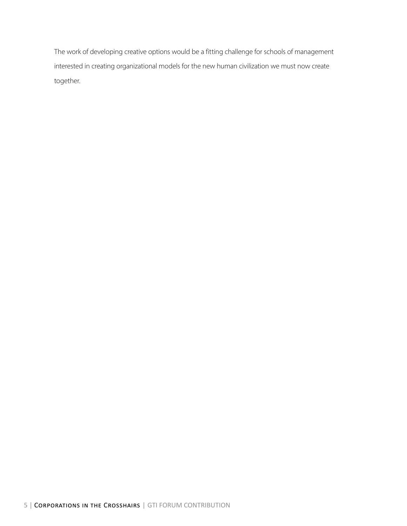The work of developing creative options would be a fitting challenge for schools of management interested in creating organizational models for the new human civilization we must now create together.